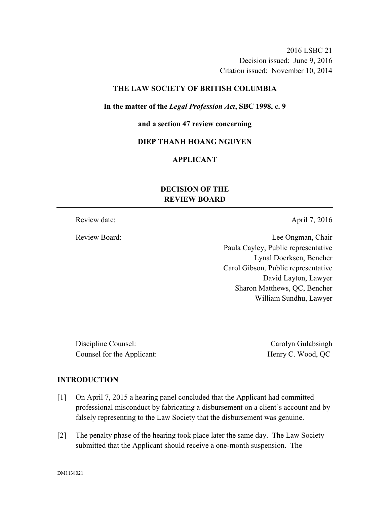2016 LSBC 21 Decision issued: June 9, 2016 Citation issued: November 10, 2014

### **THE LAW SOCIETY OF BRITISH COLUMBIA**

#### **In the matter of the** *Legal Profession Act***, SBC 1998, c. 9**

#### **and a section 47 review concerning**

# **DIEP THANH HOANG NGUYEN**

# **APPLICANT**

# **DECISION OF THE REVIEW BOARD**

Review date: April 7, 2016

Review Board: Lee Ongman, Chair Paula Cayley, Public representative Lynal Doerksen, Bencher Carol Gibson, Public representative David Layton, Lawyer Sharon Matthews, QC, Bencher William Sundhu, Lawyer

Discipline Counsel: Carolyn Gulabsingh Counsel for the Applicant: Henry C. Wood, QC

### **INTRODUCTION**

- [1] On April 7, 2015 a hearing panel concluded that the Applicant had committed professional misconduct by fabricating a disbursement on a client's account and by falsely representing to the Law Society that the disbursement was genuine.
- [2] The penalty phase of the hearing took place later the same day. The Law Society submitted that the Applicant should receive a one-month suspension. The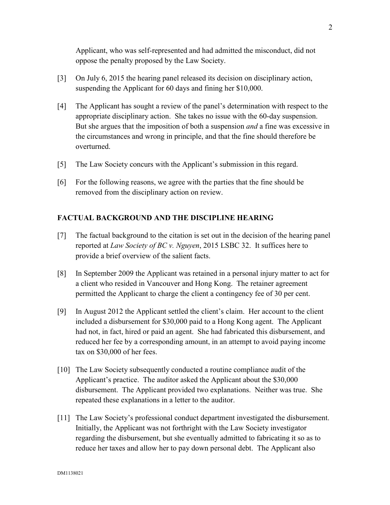Applicant, who was self-represented and had admitted the misconduct, did not oppose the penalty proposed by the Law Society.

- [3] On July 6, 2015 the hearing panel released its decision on disciplinary action, suspending the Applicant for 60 days and fining her \$10,000.
- [4] The Applicant has sought a review of the panel's determination with respect to the appropriate disciplinary action. She takes no issue with the 60-day suspension. But she argues that the imposition of both a suspension *and* a fine was excessive in the circumstances and wrong in principle, and that the fine should therefore be overturned.
- [5] The Law Society concurs with the Applicant's submission in this regard.
- [6] For the following reasons, we agree with the parties that the fine should be removed from the disciplinary action on review.

# **FACTUAL BACKGROUND AND THE DISCIPLINE HEARING**

- [7] The factual background to the citation is set out in the decision of the hearing panel reported at *Law Society of BC v. Nguyen*, 2015 LSBC 32. It suffices here to provide a brief overview of the salient facts.
- [8] In September 2009 the Applicant was retained in a personal injury matter to act for a client who resided in Vancouver and Hong Kong. The retainer agreement permitted the Applicant to charge the client a contingency fee of 30 per cent.
- [9] In August 2012 the Applicant settled the client's claim. Her account to the client included a disbursement for \$30,000 paid to a Hong Kong agent. The Applicant had not, in fact, hired or paid an agent. She had fabricated this disbursement, and reduced her fee by a corresponding amount, in an attempt to avoid paying income tax on \$30,000 of her fees.
- [10] The Law Society subsequently conducted a routine compliance audit of the Applicant's practice. The auditor asked the Applicant about the \$30,000 disbursement. The Applicant provided two explanations. Neither was true. She repeated these explanations in a letter to the auditor.
- [11] The Law Society's professional conduct department investigated the disbursement. Initially, the Applicant was not forthright with the Law Society investigator regarding the disbursement, but she eventually admitted to fabricating it so as to reduce her taxes and allow her to pay down personal debt. The Applicant also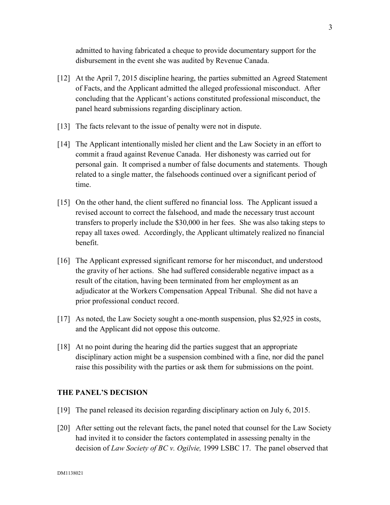admitted to having fabricated a cheque to provide documentary support for the disbursement in the event she was audited by Revenue Canada.

- [12] At the April 7, 2015 discipline hearing, the parties submitted an Agreed Statement of Facts, and the Applicant admitted the alleged professional misconduct. After concluding that the Applicant's actions constituted professional misconduct, the panel heard submissions regarding disciplinary action.
- [13] The facts relevant to the issue of penalty were not in dispute.
- [14] The Applicant intentionally misled her client and the Law Society in an effort to commit a fraud against Revenue Canada. Her dishonesty was carried out for personal gain. It comprised a number of false documents and statements. Though related to a single matter, the falsehoods continued over a significant period of time.
- [15] On the other hand, the client suffered no financial loss. The Applicant issued a revised account to correct the falsehood, and made the necessary trust account transfers to properly include the \$30,000 in her fees. She was also taking steps to repay all taxes owed. Accordingly, the Applicant ultimately realized no financial benefit.
- [16] The Applicant expressed significant remorse for her misconduct, and understood the gravity of her actions. She had suffered considerable negative impact as a result of the citation, having been terminated from her employment as an adjudicator at the Workers Compensation Appeal Tribunal. She did not have a prior professional conduct record.
- [17] As noted, the Law Society sought a one-month suspension, plus \$2,925 in costs, and the Applicant did not oppose this outcome.
- [18] At no point during the hearing did the parties suggest that an appropriate disciplinary action might be a suspension combined with a fine, nor did the panel raise this possibility with the parties or ask them for submissions on the point.

### **THE PANEL'S DECISION**

- [19] The panel released its decision regarding disciplinary action on July 6, 2015.
- [20] After setting out the relevant facts, the panel noted that counsel for the Law Society had invited it to consider the factors contemplated in assessing penalty in the decision of *Law Society of BC v. Ogilvie,* 1999 LSBC 17. The panel observed that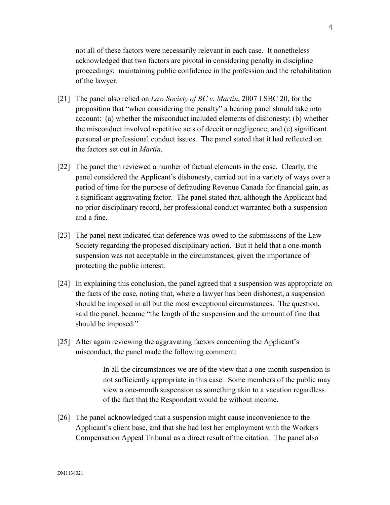not all of these factors were necessarily relevant in each case. It nonetheless acknowledged that two factors are pivotal in considering penalty in discipline proceedings: maintaining public confidence in the profession and the rehabilitation of the lawyer.

- [21] The panel also relied on *Law Society of BC v. Martin*, 2007 LSBC 20, for the proposition that "when considering the penalty" a hearing panel should take into account: (a) whether the misconduct included elements of dishonesty; (b) whether the misconduct involved repetitive acts of deceit or negligence; and (c) significant personal or professional conduct issues. The panel stated that it had reflected on the factors set out in *Martin*.
- [22] The panel then reviewed a number of factual elements in the case. Clearly, the panel considered the Applicant's dishonesty, carried out in a variety of ways over a period of time for the purpose of defrauding Revenue Canada for financial gain, as a significant aggravating factor. The panel stated that, although the Applicant had no prior disciplinary record, her professional conduct warranted both a suspension and a fine.
- [23] The panel next indicated that deference was owed to the submissions of the Law Society regarding the proposed disciplinary action. But it held that a one-month suspension was not acceptable in the circumstances, given the importance of protecting the public interest.
- [24] In explaining this conclusion, the panel agreed that a suspension was appropriate on the facts of the case, noting that, where a lawyer has been dishonest, a suspension should be imposed in all but the most exceptional circumstances. The question, said the panel, became "the length of the suspension and the amount of fine that should be imposed."
- [25] After again reviewing the aggravating factors concerning the Applicant's misconduct, the panel made the following comment:

In all the circumstances we are of the view that a one-month suspension is not sufficiently appropriate in this case. Some members of the public may view a one-month suspension as something akin to a vacation regardless of the fact that the Respondent would be without income.

[26] The panel acknowledged that a suspension might cause inconvenience to the Applicant's client base, and that she had lost her employment with the Workers Compensation Appeal Tribunal as a direct result of the citation. The panel also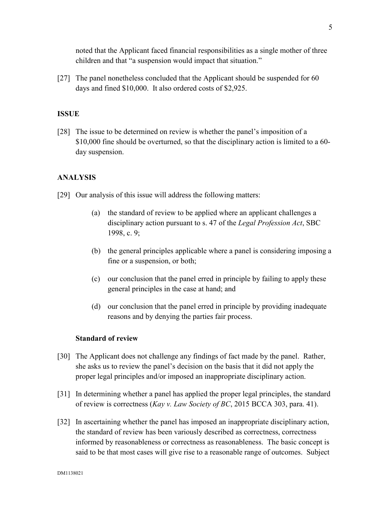noted that the Applicant faced financial responsibilities as a single mother of three children and that "a suspension would impact that situation."

[27] The panel nonetheless concluded that the Applicant should be suspended for 60 days and fined \$10,000. It also ordered costs of \$2,925.

### **ISSUE**

[28] The issue to be determined on review is whether the panel's imposition of a \$10,000 fine should be overturned, so that the disciplinary action is limited to a 60 day suspension.

### **ANALYSIS**

- [29] Our analysis of this issue will address the following matters:
	- (a) the standard of review to be applied where an applicant challenges a disciplinary action pursuant to s. 47 of the *Legal Profession Act*, SBC 1998, c. 9;
	- (b) the general principles applicable where a panel is considering imposing a fine or a suspension, or both;
	- (c) our conclusion that the panel erred in principle by failing to apply these general principles in the case at hand; and
	- (d) our conclusion that the panel erred in principle by providing inadequate reasons and by denying the parties fair process.

#### **Standard of review**

- [30] The Applicant does not challenge any findings of fact made by the panel. Rather, she asks us to review the panel's decision on the basis that it did not apply the proper legal principles and/or imposed an inappropriate disciplinary action.
- [31] In determining whether a panel has applied the proper legal principles, the standard of review is correctness (*Kay v. Law Society of BC*, 2015 BCCA 303, para. 41).
- [32] In ascertaining whether the panel has imposed an inappropriate disciplinary action, the standard of review has been variously described as correctness, correctness informed by reasonableness or correctness as reasonableness. The basic concept is said to be that most cases will give rise to a reasonable range of outcomes. Subject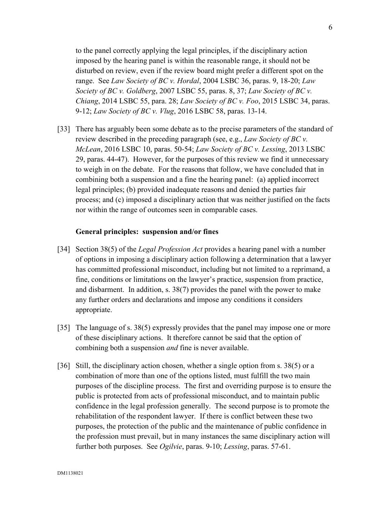to the panel correctly applying the legal principles, if the disciplinary action imposed by the hearing panel is within the reasonable range, it should not be disturbed on review, even if the review board might prefer a different spot on the range. See *Law Society of BC v. Hordal*, 2004 LSBC 36, paras. 9, 18-20; *Law Society of BC v. Goldberg*, 2007 LSBC 55, paras. 8, 37; *Law Society of BC v. Chiang*, 2014 LSBC 55, para. 28; *Law Society of BC v. Foo*, 2015 LSBC 34, paras. 9-12; *Law Society of BC v. Vlug*, 2016 LSBC 58, paras. 13-14.

[33] There has arguably been some debate as to the precise parameters of the standard of review described in the preceding paragraph (see, e.g., *Law Society of BC v. McLean*, 2016 LSBC 10, paras. 50-54; *Law Society of BC v. Lessing*, 2013 LSBC 29, paras. 44-47). However, for the purposes of this review we find it unnecessary to weigh in on the debate. For the reasons that follow, we have concluded that in combining both a suspension and a fine the hearing panel: (a) applied incorrect legal principles; (b) provided inadequate reasons and denied the parties fair process; and (c) imposed a disciplinary action that was neither justified on the facts nor within the range of outcomes seen in comparable cases.

#### **General principles: suspension and/or fines**

- [34] Section 38(5) of the *Legal Profession Act* provides a hearing panel with a number of options in imposing a disciplinary action following a determination that a lawyer has committed professional misconduct, including but not limited to a reprimand, a fine, conditions or limitations on the lawyer's practice, suspension from practice, and disbarment. In addition, s. 38(7) provides the panel with the power to make any further orders and declarations and impose any conditions it considers appropriate.
- [35] The language of s. 38(5) expressly provides that the panel may impose one or more of these disciplinary actions. It therefore cannot be said that the option of combining both a suspension *and* fine is never available.
- [36] Still, the disciplinary action chosen, whether a single option from s. 38(5) or a combination of more than one of the options listed, must fulfill the two main purposes of the discipline process. The first and overriding purpose is to ensure the public is protected from acts of professional misconduct, and to maintain public confidence in the legal profession generally. The second purpose is to promote the rehabilitation of the respondent lawyer. If there is conflict between these two purposes, the protection of the public and the maintenance of public confidence in the profession must prevail, but in many instances the same disciplinary action will further both purposes. See *Ogilvie*, paras. 9-10; *Lessing*, paras. 57-61.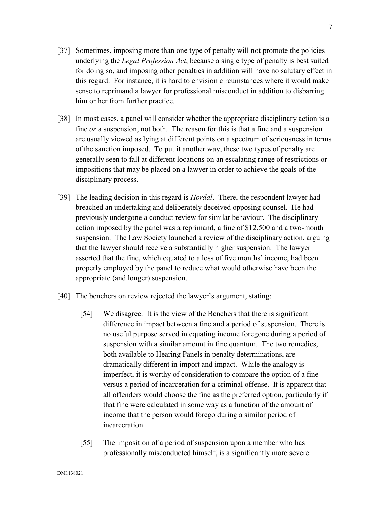- [37] Sometimes, imposing more than one type of penalty will not promote the policies underlying the *Legal Profession Act*, because a single type of penalty is best suited for doing so, and imposing other penalties in addition will have no salutary effect in this regard. For instance, it is hard to envision circumstances where it would make sense to reprimand a lawyer for professional misconduct in addition to disbarring him or her from further practice.
- [38] In most cases, a panel will consider whether the appropriate disciplinary action is a fine *or* a suspension, not both. The reason for this is that a fine and a suspension are usually viewed as lying at different points on a spectrum of seriousness in terms of the sanction imposed. To put it another way, these two types of penalty are generally seen to fall at different locations on an escalating range of restrictions or impositions that may be placed on a lawyer in order to achieve the goals of the disciplinary process.
- [39] The leading decision in this regard is *Hordal*. There, the respondent lawyer had breached an undertaking and deliberately deceived opposing counsel. He had previously undergone a conduct review for similar behaviour. The disciplinary action imposed by the panel was a reprimand, a fine of \$12,500 and a two-month suspension. The Law Society launched a review of the disciplinary action, arguing that the lawyer should receive a substantially higher suspension. The lawyer asserted that the fine, which equated to a loss of five months' income, had been properly employed by the panel to reduce what would otherwise have been the appropriate (and longer) suspension.
- [40] The benchers on review rejected the lawyer's argument, stating:
	- [54] We disagree. It is the view of the Benchers that there is significant difference in impact between a fine and a period of suspension. There is no useful purpose served in equating income foregone during a period of suspension with a similar amount in fine quantum. The two remedies, both available to Hearing Panels in penalty determinations, are dramatically different in import and impact. While the analogy is imperfect, it is worthy of consideration to compare the option of a fine versus a period of incarceration for a criminal offense. It is apparent that all offenders would choose the fine as the preferred option, particularly if that fine were calculated in some way as a function of the amount of income that the person would forego during a similar period of incarceration.
	- [55] The imposition of a period of suspension upon a member who has professionally misconducted himself, is a significantly more severe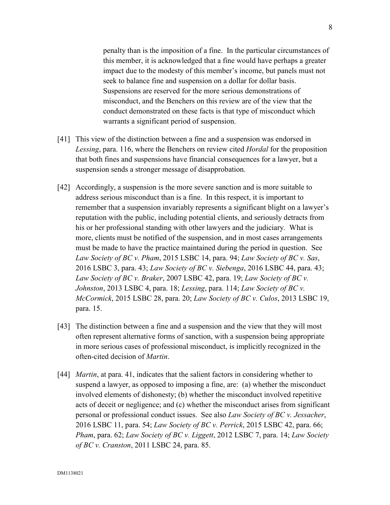penalty than is the imposition of a fine. In the particular circumstances of this member, it is acknowledged that a fine would have perhaps a greater impact due to the modesty of this member's income, but panels must not seek to balance fine and suspension on a dollar for dollar basis. Suspensions are reserved for the more serious demonstrations of misconduct, and the Benchers on this review are of the view that the conduct demonstrated on these facts is that type of misconduct which warrants a significant period of suspension.

- [41] This view of the distinction between a fine and a suspension was endorsed in *Lessing*, para. 116, where the Benchers on review cited *Hordal* for the proposition that both fines and suspensions have financial consequences for a lawyer, but a suspension sends a stronger message of disapprobation.
- [42] Accordingly, a suspension is the more severe sanction and is more suitable to address serious misconduct than is a fine. In this respect, it is important to remember that a suspension invariably represents a significant blight on a lawyer's reputation with the public, including potential clients, and seriously detracts from his or her professional standing with other lawyers and the judiciary. What is more, clients must be notified of the suspension, and in most cases arrangements must be made to have the practice maintained during the period in question. See *Law Society of BC v. Pham*, 2015 LSBC 14, para. 94; *Law Society of BC v. Sas*, 2016 LSBC 3, para. 43; *Law Society of BC v. Siebenga*, 2016 LSBC 44, para. 43; *Law Society of BC v. Braker*, 2007 LSBC 42, para. 19; *Law Society of BC v. Johnston*, 2013 LSBC 4, para. 18; *Lessing*, para. 114; *Law Society of BC v. McCormick*, 2015 LSBC 28, para. 20; *Law Society of BC v. Culos*, 2013 LSBC 19, para. 15.
- [43] The distinction between a fine and a suspension and the view that they will most often represent alternative forms of sanction, with a suspension being appropriate in more serious cases of professional misconduct, is implicitly recognized in the often-cited decision of *Martin*.
- [44] *Martin*, at para. 41, indicates that the salient factors in considering whether to suspend a lawyer, as opposed to imposing a fine, are: (a) whether the misconduct involved elements of dishonesty; (b) whether the misconduct involved repetitive acts of deceit or negligence; and (c) whether the misconduct arises from significant personal or professional conduct issues. See also *Law Society of BC v. Jessacher*, 2016 LSBC 11, para. 54; *Law Society of BC v. Perrick*, 2015 LSBC 42, para. 66; *Pham*, para. 62; *Law Society of BC v. Liggett*, 2012 LSBC 7, para. 14; *Law Society of BC v. Cranston*, 2011 LSBC 24, para. 85.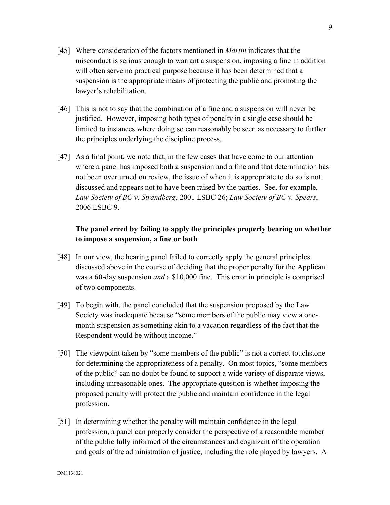- [45] Where consideration of the factors mentioned in *Martin* indicates that the misconduct is serious enough to warrant a suspension, imposing a fine in addition will often serve no practical purpose because it has been determined that a suspension is the appropriate means of protecting the public and promoting the lawyer's rehabilitation.
- [46] This is not to say that the combination of a fine and a suspension will never be justified. However, imposing both types of penalty in a single case should be limited to instances where doing so can reasonably be seen as necessary to further the principles underlying the discipline process.
- [47] As a final point, we note that, in the few cases that have come to our attention where a panel has imposed both a suspension and a fine and that determination has not been overturned on review, the issue of when it is appropriate to do so is not discussed and appears not to have been raised by the parties. See, for example, *Law Society of BC v. Strandberg*, 2001 LSBC 26; *Law Society of BC v. Spears*, 2006 LSBC 9.

# **The panel erred by failing to apply the principles properly bearing on whether to impose a suspension, a fine or both**

- [48] In our view, the hearing panel failed to correctly apply the general principles discussed above in the course of deciding that the proper penalty for the Applicant was a 60-day suspension *and* a \$10,000 fine. This error in principle is comprised of two components.
- [49] To begin with, the panel concluded that the suspension proposed by the Law Society was inadequate because "some members of the public may view a onemonth suspension as something akin to a vacation regardless of the fact that the Respondent would be without income."
- [50] The viewpoint taken by "some members of the public" is not a correct touchstone for determining the appropriateness of a penalty. On most topics, "some members of the public" can no doubt be found to support a wide variety of disparate views, including unreasonable ones. The appropriate question is whether imposing the proposed penalty will protect the public and maintain confidence in the legal profession.
- [51] In determining whether the penalty will maintain confidence in the legal profession, a panel can properly consider the perspective of a reasonable member of the public fully informed of the circumstances and cognizant of the operation and goals of the administration of justice, including the role played by lawyers. A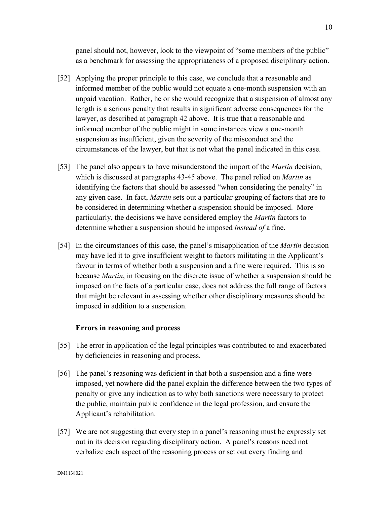panel should not, however, look to the viewpoint of "some members of the public" as a benchmark for assessing the appropriateness of a proposed disciplinary action.

- [52] Applying the proper principle to this case, we conclude that a reasonable and informed member of the public would not equate a one-month suspension with an unpaid vacation. Rather, he or she would recognize that a suspension of almost any length is a serious penalty that results in significant adverse consequences for the lawyer, as described at paragraph 42 above. It is true that a reasonable and informed member of the public might in some instances view a one-month suspension as insufficient, given the severity of the misconduct and the circumstances of the lawyer, but that is not what the panel indicated in this case.
- [53] The panel also appears to have misunderstood the import of the *Martin* decision, which is discussed at paragraphs 43-45 above. The panel relied on *Martin* as identifying the factors that should be assessed "when considering the penalty" in any given case. In fact, *Martin* sets out a particular grouping of factors that are to be considered in determining whether a suspension should be imposed. More particularly, the decisions we have considered employ the *Martin* factors to determine whether a suspension should be imposed *instead of* a fine.
- [54] In the circumstances of this case, the panel's misapplication of the *Martin* decision may have led it to give insufficient weight to factors militating in the Applicant's favour in terms of whether both a suspension and a fine were required. This is so because *Martin*, in focusing on the discrete issue of whether a suspension should be imposed on the facts of a particular case, does not address the full range of factors that might be relevant in assessing whether other disciplinary measures should be imposed in addition to a suspension.

### **Errors in reasoning and process**

- [55] The error in application of the legal principles was contributed to and exacerbated by deficiencies in reasoning and process.
- [56] The panel's reasoning was deficient in that both a suspension and a fine were imposed, yet nowhere did the panel explain the difference between the two types of penalty or give any indication as to why both sanctions were necessary to protect the public, maintain public confidence in the legal profession, and ensure the Applicant's rehabilitation.
- [57] We are not suggesting that every step in a panel's reasoning must be expressly set out in its decision regarding disciplinary action. A panel's reasons need not verbalize each aspect of the reasoning process or set out every finding and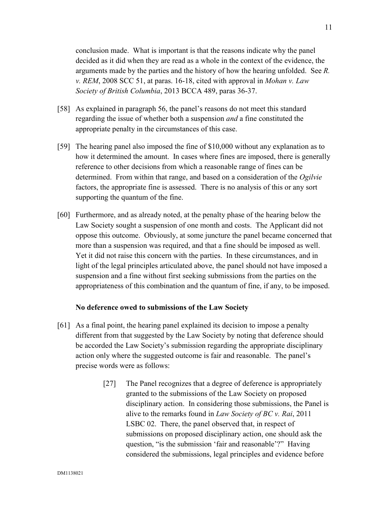conclusion made. What is important is that the reasons indicate why the panel decided as it did when they are read as a whole in the context of the evidence, the arguments made by the parties and the history of how the hearing unfolded. See *R. v. REM*, 2008 SCC 51, at paras. 16-18, cited with approval in *Mohan v. Law Society of British Columbia*, 2013 BCCA 489, paras 36-37.

- [58] As explained in paragraph 56, the panel's reasons do not meet this standard regarding the issue of whether both a suspension *and* a fine constituted the appropriate penalty in the circumstances of this case.
- [59] The hearing panel also imposed the fine of \$10,000 without any explanation as to how it determined the amount. In cases where fines are imposed, there is generally reference to other decisions from which a reasonable range of fines can be determined. From within that range, and based on a consideration of the *Ogilvie*  factors, the appropriate fine is assessed. There is no analysis of this or any sort supporting the quantum of the fine.
- [60] Furthermore, and as already noted, at the penalty phase of the hearing below the Law Society sought a suspension of one month and costs. The Applicant did not oppose this outcome. Obviously, at some juncture the panel became concerned that more than a suspension was required, and that a fine should be imposed as well. Yet it did not raise this concern with the parties. In these circumstances, and in light of the legal principles articulated above, the panel should not have imposed a suspension and a fine without first seeking submissions from the parties on the appropriateness of this combination and the quantum of fine, if any, to be imposed.

#### **No deference owed to submissions of the Law Society**

- [61] As a final point, the hearing panel explained its decision to impose a penalty different from that suggested by the Law Society by noting that deference should be accorded the Law Society's submission regarding the appropriate disciplinary action only where the suggested outcome is fair and reasonable. The panel's precise words were as follows:
	- [27] The Panel recognizes that a degree of deference is appropriately granted to the submissions of the Law Society on proposed disciplinary action. In considering those submissions, the Panel is alive to the remarks found in *Law Society of BC v. Rai*, 2011 LSBC 02. There, the panel observed that, in respect of submissions on proposed disciplinary action, one should ask the question, "is the submission 'fair and reasonable'?" Having considered the submissions, legal principles and evidence before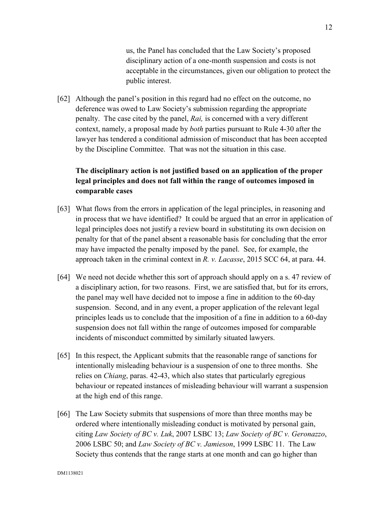us, the Panel has concluded that the Law Society's proposed disciplinary action of a one-month suspension and costs is not acceptable in the circumstances, given our obligation to protect the public interest.

[62] Although the panel's position in this regard had no effect on the outcome, no deference was owed to Law Society's submission regarding the appropriate penalty. The case cited by the panel, *Rai,* is concerned with a very different context, namely, a proposal made by *both* parties pursuant to Rule 4-30 after the lawyer has tendered a conditional admission of misconduct that has been accepted by the Discipline Committee. That was not the situation in this case.

# **The disciplinary action is not justified based on an application of the proper legal principles and does not fall within the range of outcomes imposed in comparable cases**

- [63] What flows from the errors in application of the legal principles, in reasoning and in process that we have identified? It could be argued that an error in application of legal principles does not justify a review board in substituting its own decision on penalty for that of the panel absent a reasonable basis for concluding that the error may have impacted the penalty imposed by the panel. See, for example, the approach taken in the criminal context in *R. v. Lacasse*, 2015 SCC 64, at para. 44.
- [64] We need not decide whether this sort of approach should apply on a s. 47 review of a disciplinary action, for two reasons. First, we are satisfied that, but for its errors, the panel may well have decided not to impose a fine in addition to the 60-day suspension. Second, and in any event, a proper application of the relevant legal principles leads us to conclude that the imposition of a fine in addition to a 60-day suspension does not fall within the range of outcomes imposed for comparable incidents of misconduct committed by similarly situated lawyers.
- [65] In this respect, the Applicant submits that the reasonable range of sanctions for intentionally misleading behaviour is a suspension of one to three months. She relies on *Chiang*, paras. 42-43, which also states that particularly egregious behaviour or repeated instances of misleading behaviour will warrant a suspension at the high end of this range.
- [66] The Law Society submits that suspensions of more than three months may be ordered where intentionally misleading conduct is motivated by personal gain, citing *Law Society of BC v. Luk*, 2007 LSBC 13; *Law Society of BC v. Geronazzo*, 2006 LSBC 50; and *Law Society of BC v. Jamieson*, 1999 LSBC 11. The Law Society thus contends that the range starts at one month and can go higher than